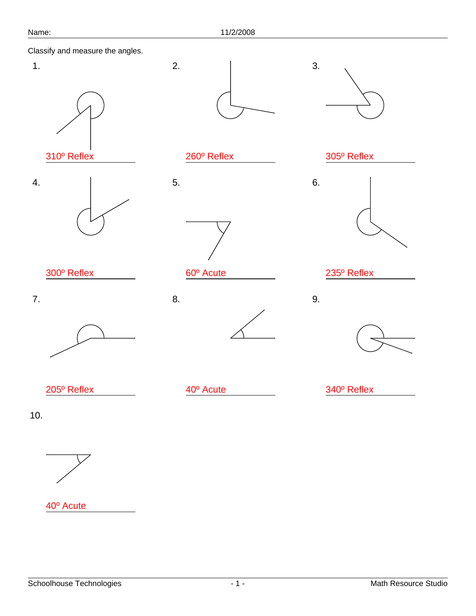1.

4.





310º Reflex



300º Reflex

7.





260º Reflex



60º Acute

8.

2.

5.





235º Reflex

9.

3.

6.



205º Reflex

40º Acute

340º Reflex

10.



40º Acute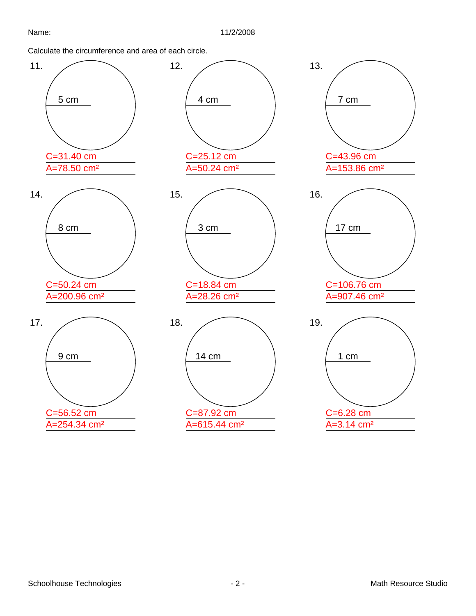Calculate the circumference and area of each circle.

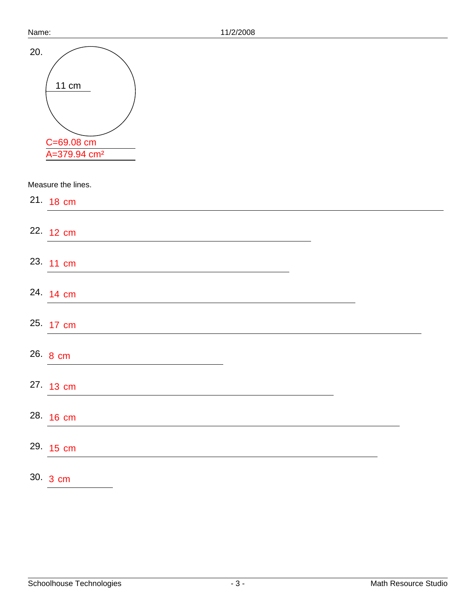| Name: | 11/2/2008                                       |
|-------|-------------------------------------------------|
| 20.   | 11 cm<br>C=69.08 cm<br>A=379.94 cm <sup>2</sup> |
|       | Measure the lines.                              |
|       | 21. 18 cm                                       |
|       | 22. 12 cm                                       |
|       | 23. 11 cm                                       |
|       | 24. 14 cm                                       |
|       | 25. 17 cm                                       |
|       | 26. 8 cm                                        |
|       | 27. 13 cm                                       |
|       | 28. 16 cm                                       |
|       | 29. 15 cm                                       |
|       | 30. 3 cm                                        |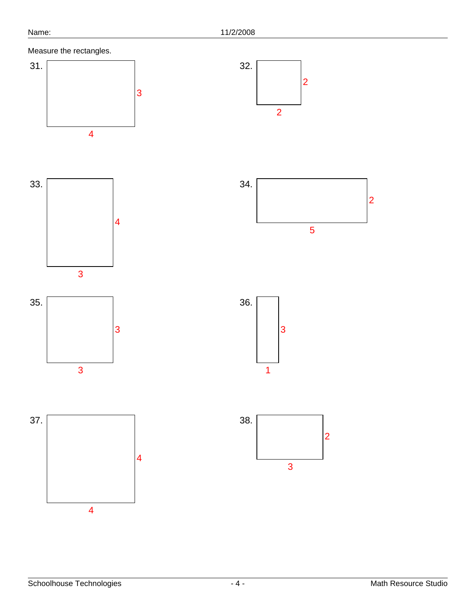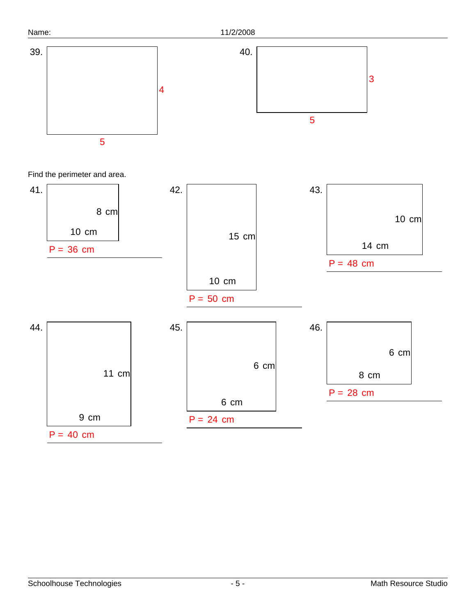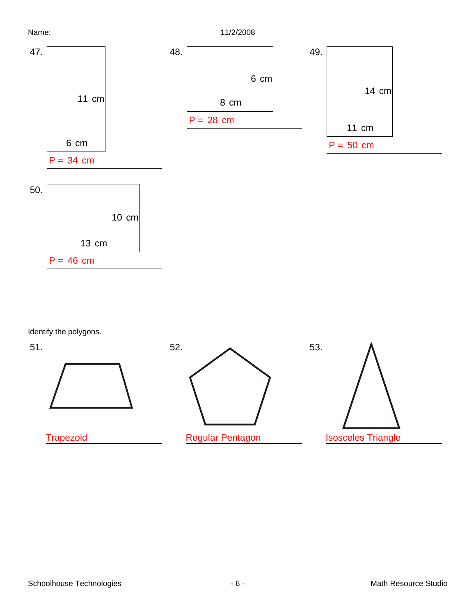

Identify the polygons.

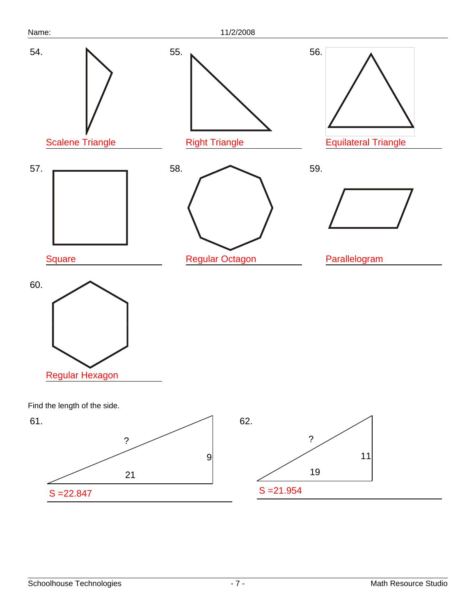